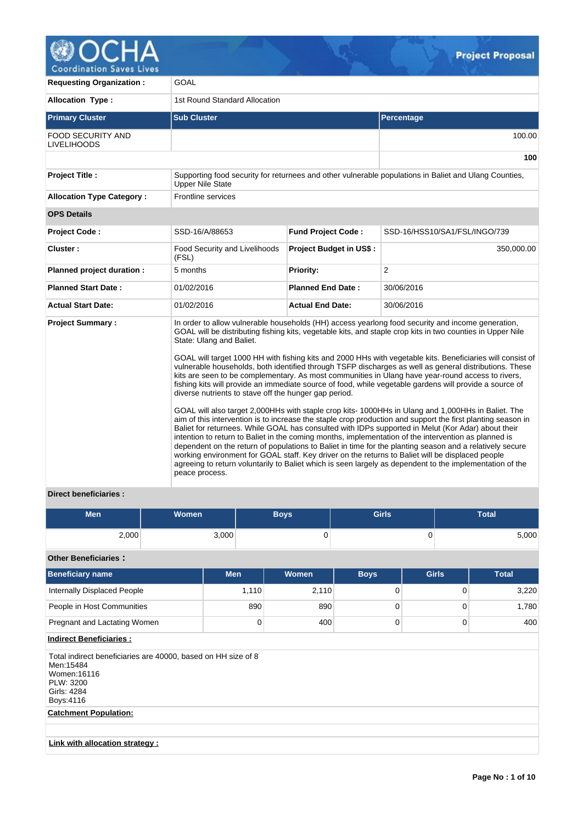

**Coordination Saves Lives** 

| <b>Requesting Organization:</b>                | <b>GOAL</b>                                                                                         |                                |                                                                                                                                                                                                                                                                                                                                                                                                                                                                                                                                                                                                                                                                                                                                                                                                                                                                                                                                                                                                                                                                                                                                                                                                                                                                                                                                                                                                                       |  |  |  |  |
|------------------------------------------------|-----------------------------------------------------------------------------------------------------|--------------------------------|-----------------------------------------------------------------------------------------------------------------------------------------------------------------------------------------------------------------------------------------------------------------------------------------------------------------------------------------------------------------------------------------------------------------------------------------------------------------------------------------------------------------------------------------------------------------------------------------------------------------------------------------------------------------------------------------------------------------------------------------------------------------------------------------------------------------------------------------------------------------------------------------------------------------------------------------------------------------------------------------------------------------------------------------------------------------------------------------------------------------------------------------------------------------------------------------------------------------------------------------------------------------------------------------------------------------------------------------------------------------------------------------------------------------------|--|--|--|--|
| <b>Allocation Type:</b>                        | 1st Round Standard Allocation                                                                       |                                |                                                                                                                                                                                                                                                                                                                                                                                                                                                                                                                                                                                                                                                                                                                                                                                                                                                                                                                                                                                                                                                                                                                                                                                                                                                                                                                                                                                                                       |  |  |  |  |
| <b>Primary Cluster</b>                         | <b>Sub Cluster</b>                                                                                  |                                | <b>Percentage</b>                                                                                                                                                                                                                                                                                                                                                                                                                                                                                                                                                                                                                                                                                                                                                                                                                                                                                                                                                                                                                                                                                                                                                                                                                                                                                                                                                                                                     |  |  |  |  |
| <b>FOOD SECURITY AND</b><br><b>LIVELIHOODS</b> |                                                                                                     |                                | 100.00                                                                                                                                                                                                                                                                                                                                                                                                                                                                                                                                                                                                                                                                                                                                                                                                                                                                                                                                                                                                                                                                                                                                                                                                                                                                                                                                                                                                                |  |  |  |  |
|                                                |                                                                                                     |                                | 100                                                                                                                                                                                                                                                                                                                                                                                                                                                                                                                                                                                                                                                                                                                                                                                                                                                                                                                                                                                                                                                                                                                                                                                                                                                                                                                                                                                                                   |  |  |  |  |
| Project Title :                                | <b>Upper Nile State</b>                                                                             |                                | Supporting food security for returnees and other vulnerable populations in Baliet and Ulang Counties,                                                                                                                                                                                                                                                                                                                                                                                                                                                                                                                                                                                                                                                                                                                                                                                                                                                                                                                                                                                                                                                                                                                                                                                                                                                                                                                 |  |  |  |  |
| <b>Allocation Type Category:</b>               | <b>Frontline services</b>                                                                           |                                |                                                                                                                                                                                                                                                                                                                                                                                                                                                                                                                                                                                                                                                                                                                                                                                                                                                                                                                                                                                                                                                                                                                                                                                                                                                                                                                                                                                                                       |  |  |  |  |
| <b>OPS Details</b>                             |                                                                                                     |                                |                                                                                                                                                                                                                                                                                                                                                                                                                                                                                                                                                                                                                                                                                                                                                                                                                                                                                                                                                                                                                                                                                                                                                                                                                                                                                                                                                                                                                       |  |  |  |  |
| <b>Project Code:</b>                           | SSD-16/A/88653                                                                                      | <b>Fund Project Code:</b>      | SSD-16/HSS10/SA1/FSL/INGO/739                                                                                                                                                                                                                                                                                                                                                                                                                                                                                                                                                                                                                                                                                                                                                                                                                                                                                                                                                                                                                                                                                                                                                                                                                                                                                                                                                                                         |  |  |  |  |
| Cluster:                                       | Food Security and Livelihoods<br>(FSL)                                                              | <b>Project Budget in US\$:</b> | 350,000.00                                                                                                                                                                                                                                                                                                                                                                                                                                                                                                                                                                                                                                                                                                                                                                                                                                                                                                                                                                                                                                                                                                                                                                                                                                                                                                                                                                                                            |  |  |  |  |
| Planned project duration :                     | 5 months                                                                                            | <b>Priority:</b>               | 2                                                                                                                                                                                                                                                                                                                                                                                                                                                                                                                                                                                                                                                                                                                                                                                                                                                                                                                                                                                                                                                                                                                                                                                                                                                                                                                                                                                                                     |  |  |  |  |
| <b>Planned Start Date:</b>                     | 01/02/2016                                                                                          | <b>Planned End Date:</b>       | 30/06/2016                                                                                                                                                                                                                                                                                                                                                                                                                                                                                                                                                                                                                                                                                                                                                                                                                                                                                                                                                                                                                                                                                                                                                                                                                                                                                                                                                                                                            |  |  |  |  |
| <b>Actual Start Date:</b>                      | 01/02/2016                                                                                          | <b>Actual End Date:</b>        | 30/06/2016                                                                                                                                                                                                                                                                                                                                                                                                                                                                                                                                                                                                                                                                                                                                                                                                                                                                                                                                                                                                                                                                                                                                                                                                                                                                                                                                                                                                            |  |  |  |  |
| <b>Project Summary:</b>                        | State: Ulang and Baliet.<br>diverse nutrients to stave off the hunger gap period.<br>peace process. |                                | In order to allow vulnerable households (HH) access yearlong food security and income generation,<br>GOAL will be distributing fishing kits, vegetable kits, and staple crop kits in two counties in Upper Nile<br>GOAL will target 1000 HH with fishing kits and 2000 HHs with vegetable kits. Beneficiaries will consist of<br>vulnerable households, both identified through TSFP discharges as well as general distributions. These<br>kits are seen to be complementary. As most communities in Ulang have year-round access to rivers,<br>fishing kits will provide an immediate source of food, while vegetable gardens will provide a source of<br>GOAL will also target 2,000HHs with staple crop kits-1000HHs in Ulang and 1,000HHs in Baliet. The<br>aim of this intervention is to increase the staple crop production and support the first planting season in<br>Baliet for returnees. While GOAL has consulted with IDPs supported in Melut (Kor Adar) about their<br>intention to return to Baliet in the coming months, implementation of the intervention as planned is<br>dependent on the return of populations to Baliet in time for the planting season and a relatively secure<br>working environment for GOAL staff. Key driver on the returns to Baliet will be displaced people<br>agreeing to return voluntarily to Baliet which is seen largely as dependent to the implementation of the |  |  |  |  |

# **Direct beneficiaries :**

| <b>Men</b> | <b>Women</b><br><b>Boys</b> |   | <b>Girls</b> | <b>Total</b> |
|------------|-----------------------------|---|--------------|--------------|
| 2,000      | 3,000                       | ັ | Ü            | 5,000        |

## **Other Beneficiaries :**

| <b>Beneficiary name</b>      | <b>Men</b> | Women | <b>Boys</b> | <b>Girls</b> | <b>Total</b> |
|------------------------------|------------|-------|-------------|--------------|--------------|
| Internally Displaced People  | 1,110      | 2,110 |             |              | 3,220        |
| People in Host Communities   | 890        | 890   |             |              | 1,780        |
| Pregnant and Lactating Women |            | 400   |             |              | 400          |

# **Indirect Beneficiaries :**

Total indirect beneficiaries are 40000, based on HH size of 8 Men:15484 Women:16116 PLW: 3200 Girls: 4284 Boys:4116

# **Catchment Population:**

**Link with allocation strategy :**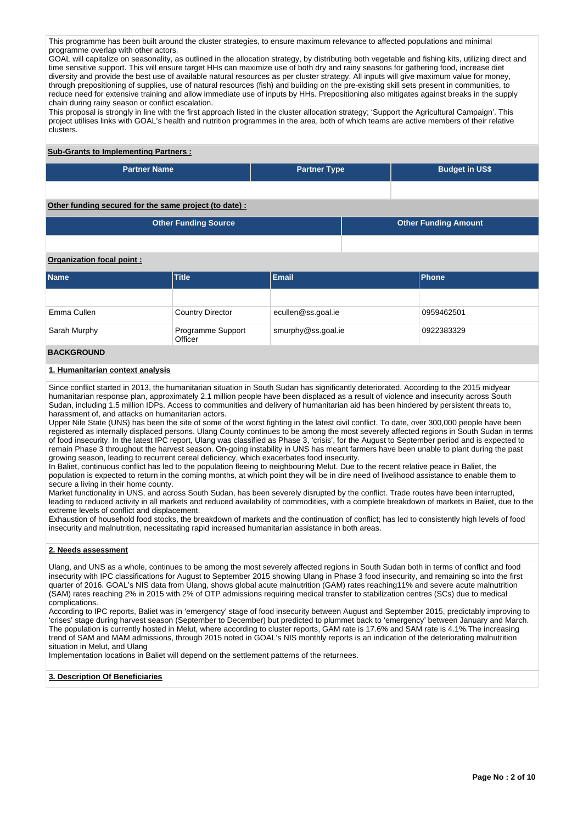This programme has been built around the cluster strategies, to ensure maximum relevance to affected populations and minimal programme overlap with other actors.

GOAL will capitalize on seasonality, as outlined in the allocation strategy, by distributing both vegetable and fishing kits, utilizing direct and time sensitive support. This will ensure target HHs can maximize use of both dry and rainy seasons for gathering food, increase diet diversity and provide the best use of available natural resources as per cluster strategy. All inputs will give maximum value for money, through prepositioning of supplies, use of natural resources (fish) and building on the pre-existing skill sets present in communities, to reduce need for extensive training and allow immediate use of inputs by HHs. Prepositioning also mitigates against breaks in the supply chain during rainy season or conflict escalation.

This proposal is strongly in line with the first approach listed in the cluster allocation strategy; 'Support the Agricultural Campaign'. This project utilises links with GOAL's health and nutrition programmes in the area, both of which teams are active members of their relative clusters.

### **Sub-Grants to Implementing Partners :**

| <b>Partner Name</b> | <b>Partner Type</b> | <b>Budget in US\$</b> |
|---------------------|---------------------|-----------------------|
|                     |                     |                       |

# **Other funding secured for the same project (to date) :**

| Other Funding Source | <b>Other Funding Amount</b> |
|----------------------|-----------------------------|
|                      |                             |

## **Organization focal point :**

| <b>Name</b>       | <b>Title</b>                 | <b>Email</b>       | Phone      |  |  |
|-------------------|------------------------------|--------------------|------------|--|--|
|                   |                              |                    |            |  |  |
| Emma Cullen       | <b>Country Director</b>      | ecullen@ss.goal.ie | 0959462501 |  |  |
| Sarah Murphy      | Programme Support<br>Officer | smurphy@ss.goal.ie | 0922383329 |  |  |
| <b>RACKCROUND</b> |                              |                    |            |  |  |

## **BACKGROUND**

#### **1. Humanitarian context analysis**

Since conflict started in 2013, the humanitarian situation in South Sudan has significantly deteriorated. According to the 2015 midyear humanitarian response plan, approximately 2.1 million people have been displaced as a result of violence and insecurity across South Sudan, including 1.5 million IDPs. Access to communities and delivery of humanitarian aid has been hindered by persistent threats to, harassment of, and attacks on humanitarian actors.

Upper Nile State (UNS) has been the site of some of the worst fighting in the latest civil conflict. To date, over 300,000 people have been registered as internally displaced persons. Ulang County continues to be among the most severely affected regions in South Sudan in terms of food insecurity. In the latest IPC report, Ulang was classified as Phase 3, 'crisis', for the August to September period and is expected to remain Phase 3 throughout the harvest season. On-going instability in UNS has meant farmers have been unable to plant during the past growing season, leading to recurrent cereal deficiency, which exacerbates food insecurity.

In Baliet, continuous conflict has led to the population fleeing to neighbouring Melut. Due to the recent relative peace in Baliet, the population is expected to return in the coming months, at which point they will be in dire need of livelihood assistance to enable them to secure a living in their home county.

Market functionality in UNS, and across South Sudan, has been severely disrupted by the conflict. Trade routes have been interrupted, leading to reduced activity in all markets and reduced availability of commodities, with a complete breakdown of markets in Baliet, due to the extreme levels of conflict and displacement.

Exhaustion of household food stocks, the breakdown of markets and the continuation of conflict; has led to consistently high levels of food insecurity and malnutrition, necessitating rapid increased humanitarian assistance in both areas.

#### **2. Needs assessment**

Ulang, and UNS as a whole, continues to be among the most severely affected regions in South Sudan both in terms of conflict and food insecurity with IPC classifications for August to September 2015 showing Ulang in Phase 3 food insecurity, and remaining so into the first quarter of 2016. GOAL's NIS data from Ulang, shows global acute malnutrition (GAM) rates reaching11% and severe acute malnutrition (SAM) rates reaching 2% in 2015 with 2% of OTP admissions requiring medical transfer to stabilization centres (SCs) due to medical complications.

According to IPC reports, Baliet was in 'emergency' stage of food insecurity between August and September 2015, predictably improving to 'crises' stage during harvest season (September to December) but predicted to plummet back to 'emergency' between January and March. The population is currently hosted in Melut, where according to cluster reports, GAM rate is 17.6% and SAM rate is 4.1%.The increasing trend of SAM and MAM admissions, through 2015 noted in GOAL's NIS monthly reports is an indication of the deteriorating malnutrition situation in Melut, and Ulang

Implementation locations in Baliet will depend on the settlement patterns of the returnees.

#### **3. Description Of Beneficiaries**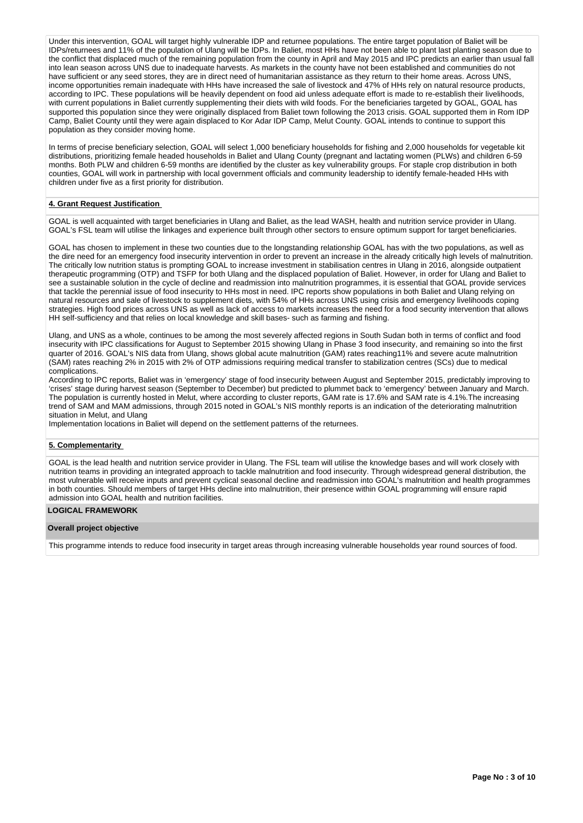Under this intervention, GOAL will target highly vulnerable IDP and returnee populations. The entire target population of Baliet will be IDPs/returnees and 11% of the population of Ulang will be IDPs. In Baliet, most HHs have not been able to plant last planting season due to the conflict that displaced much of the remaining population from the county in April and May 2015 and IPC predicts an earlier than usual fall into lean season across UNS due to inadequate harvests. As markets in the county have not been established and communities do not have sufficient or any seed stores, they are in direct need of humanitarian assistance as they return to their home areas. Across UNS, income opportunities remain inadequate with HHs have increased the sale of livestock and 47% of HHs rely on natural resource products, according to IPC. These populations will be heavily dependent on food aid unless adequate effort is made to re-establish their livelihoods, with current populations in Baliet currently supplementing their diets with wild foods. For the beneficiaries targeted by GOAL, GOAL has supported this population since they were originally displaced from Baliet town following the 2013 crisis. GOAL supported them in Rom IDP Camp, Baliet County until they were again displaced to Kor Adar IDP Camp, Melut County. GOAL intends to continue to support this population as they consider moving home.

In terms of precise beneficiary selection, GOAL will select 1,000 beneficiary households for fishing and 2,000 households for vegetable kit distributions, prioritizing female headed households in Baliet and Ulang County (pregnant and lactating women (PLWs) and children 6-59 months. Both PLW and children 6-59 months are identified by the cluster as key vulnerability groups. For staple crop distribution in both counties, GOAL will work in partnership with local government officials and community leadership to identify female-headed HHs with children under five as a first priority for distribution.

## **4. Grant Request Justification**

GOAL is well acquainted with target beneficiaries in Ulang and Baliet, as the lead WASH, health and nutrition service provider in Ulang. GOAL's FSL team will utilise the linkages and experience built through other sectors to ensure optimum support for target beneficiaries.

GOAL has chosen to implement in these two counties due to the longstanding relationship GOAL has with the two populations, as well as the dire need for an emergency food insecurity intervention in order to prevent an increase in the already critically high levels of malnutrition. The critically low nutrition status is prompting GOAL to increase investment in stabilisation centres in Ulang in 2016, alongside outpatient therapeutic programming (OTP) and TSFP for both Ulang and the displaced population of Baliet. However, in order for Ulang and Baliet to see a sustainable solution in the cycle of decline and readmission into malnutrition programmes, it is essential that GOAL provide services that tackle the perennial issue of food insecurity to HHs most in need. IPC reports show populations in both Baliet and Ulang relying on natural resources and sale of livestock to supplement diets, with 54% of HHs across UNS using crisis and emergency livelihoods coping strategies. High food prices across UNS as well as lack of access to markets increases the need for a food security intervention that allows HH self-sufficiency and that relies on local knowledge and skill bases- such as farming and fishing.

Ulang, and UNS as a whole, continues to be among the most severely affected regions in South Sudan both in terms of conflict and food insecurity with IPC classifications for August to September 2015 showing Ulang in Phase 3 food insecurity, and remaining so into the first quarter of 2016. GOAL's NIS data from Ulang, shows global acute malnutrition (GAM) rates reaching11% and severe acute malnutrition (SAM) rates reaching 2% in 2015 with 2% of OTP admissions requiring medical transfer to stabilization centres (SCs) due to medical complications.

According to IPC reports, Baliet was in 'emergency' stage of food insecurity between August and September 2015, predictably improving to 'crises' stage during harvest season (September to December) but predicted to plummet back to 'emergency' between January and March. The population is currently hosted in Melut, where according to cluster reports, GAM rate is 17.6% and SAM rate is 4.1%.The increasing trend of SAM and MAM admissions, through 2015 noted in GOAL's NIS monthly reports is an indication of the deteriorating malnutrition situation in Melut, and Ulang

Implementation locations in Baliet will depend on the settlement patterns of the returnees.

## **5. Complementarity**

GOAL is the lead health and nutrition service provider in Ulang. The FSL team will utilise the knowledge bases and will work closely with nutrition teams in providing an integrated approach to tackle malnutrition and food insecurity. Through widespread general distribution, the most vulnerable will receive inputs and prevent cyclical seasonal decline and readmission into GOAL's malnutrition and health programmes in both counties. Should members of target HHs decline into malnutrition, their presence within GOAL programming will ensure rapid admission into GOAL health and nutrition facilities.

#### **LOGICAL FRAMEWORK**

#### **Overall project objective**

This programme intends to reduce food insecurity in target areas through increasing vulnerable households year round sources of food.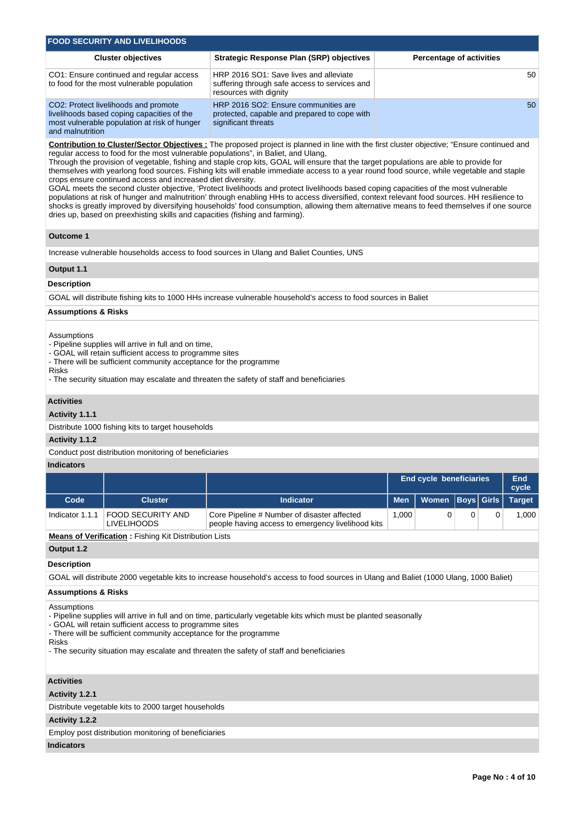| <b>FOOD SECURITY AND LIVELIHOODS</b>                                                                                                                   |                                                                                                                   |                                 |  |  |  |  |  |  |
|--------------------------------------------------------------------------------------------------------------------------------------------------------|-------------------------------------------------------------------------------------------------------------------|---------------------------------|--|--|--|--|--|--|
| <b>Cluster objectives</b>                                                                                                                              | <b>Strategic Response Plan (SRP) objectives</b>                                                                   | <b>Percentage of activities</b> |  |  |  |  |  |  |
| CO1: Ensure continued and regular access<br>to food for the most vulnerable population                                                                 | HRP 2016 SO1: Save lives and alleviate<br>suffering through safe access to services and<br>resources with dignity | 50                              |  |  |  |  |  |  |
| CO2: Protect livelihoods and promote<br>livelihoods based coping capacities of the<br>most vulnerable population at risk of hunger<br>and malnutrition | HRP 2016 SO2: Ensure communities are<br>protected, capable and prepared to cope with<br>significant threats       | 50                              |  |  |  |  |  |  |

**Contribution to Cluster/Sector Objectives :** The proposed project is planned in line with the first cluster objective; "Ensure continued and regular access to food for the most vulnerable populations", in Baliet, and Ulang,

Through the provision of vegetable, fishing and staple crop kits, GOAL will ensure that the target populations are able to provide for themselves with yearlong food sources. Fishing kits will enable immediate access to a year round food source, while vegetable and staple crops ensure continued access and increased diet diversity.

GOAL meets the second cluster objective, 'Protect livelihoods and protect livelihoods based coping capacities of the most vulnerable populations at risk of hunger and malnutrition' through enabling HHs to access diversified, context relevant food sources. HH resilience to shocks is greatly improved by diversifying households' food consumption, allowing them alternative means to feed themselves if one source dries up, based on preexhisting skills and capacities (fishing and farming).

## **Outcome 1**

Increase vulnerable households access to food sources in Ulang and Baliet Counties, UNS

## **Output 1.1**

## **Description**

GOAL will distribute fishing kits to 1000 HHs increase vulnerable household's access to food sources in Baliet

### **Assumptions & Risks**

**Assumptions** 

- Pipeline supplies will arrive in full and on time,

- GOAL will retain sufficient access to programme sites

- There will be sufficient community acceptance for the programme

Risks

- The security situation may escalate and threaten the safety of staff and beneficiaries

## **Activities**

## **Activity 1.1.1**

Distribute 1000 fishing kits to target households

#### **Activity 1.1.2**

Conduct post distribution monitoring of beneficiaries

## **Indicators**

|                 |                                         |                                                                                                  | <b>End cycle beneficiaries</b> | End<br>cycle              |  |       |
|-----------------|-----------------------------------------|--------------------------------------------------------------------------------------------------|--------------------------------|---------------------------|--|-------|
| Code            | <b>Cluster</b>                          | <b>Men</b><br><b>Indicator</b>                                                                   |                                | Women Boys Girls   Target |  |       |
| Indicator 1.1.1 | FOOD SECURITY AND<br><b>LIVELIHOODS</b> | Core Pipeline # Number of disaster affected<br>people having access to emergency livelihood kits | 000. ا                         |                           |  | 1.000 |

**Means of Verification :** Fishing Kit Distribution Lists

**Output 1.2**

#### **Description**

GOAL will distribute 2000 vegetable kits to increase household's access to food sources in Ulang and Baliet (1000 Ulang, 1000 Baliet)

## **Assumptions & Risks**

Assumptions

- Pipeline supplies will arrive in full and on time, particularly vegetable kits which must be planted seasonally

- GOAL will retain sufficient access to programme sites

- There will be sufficient community acceptance for the programme

### Risks

- The security situation may escalate and threaten the safety of staff and beneficiaries

# **Activities**

**Activity 1.2.1** 

Distribute vegetable kits to 2000 target households

**Activity 1.2.2** 

Employ post distribution monitoring of beneficiaries

## **Indicators**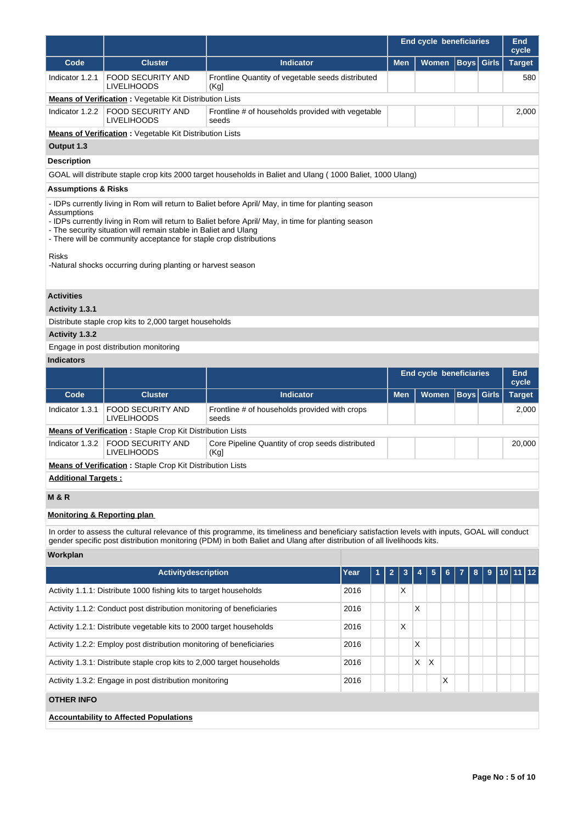|                                        |                                                                                                                                                                                                                                                                                                                                                                                                                    |                                                                                                                                                                                                                                                                           | <b>End cycle beneficiaries</b> |            |   |                                |                   |   | <b>End</b><br>cycle |
|----------------------------------------|--------------------------------------------------------------------------------------------------------------------------------------------------------------------------------------------------------------------------------------------------------------------------------------------------------------------------------------------------------------------------------------------------------------------|---------------------------------------------------------------------------------------------------------------------------------------------------------------------------------------------------------------------------------------------------------------------------|--------------------------------|------------|---|--------------------------------|-------------------|---|---------------------|
| Code                                   | <b>Cluster</b>                                                                                                                                                                                                                                                                                                                                                                                                     | <b>Indicator</b>                                                                                                                                                                                                                                                          |                                | <b>Men</b> |   | Women                          | <b>Boys</b> Girls |   | <b>Target</b>       |
| Indicator 1.2.1                        | <b>FOOD SECURITY AND</b><br>LIVELIHOODS                                                                                                                                                                                                                                                                                                                                                                            | Frontline Quantity of vegetable seeds distributed<br>(Kg)                                                                                                                                                                                                                 |                                |            |   |                                |                   |   | 580                 |
|                                        | <b>Means of Verification :</b> Vegetable Kit Distribution Lists                                                                                                                                                                                                                                                                                                                                                    |                                                                                                                                                                                                                                                                           |                                |            |   |                                |                   |   |                     |
| Indicator 1.2.2                        | <b>FOOD SECURITY AND</b><br><b>LIVELIHOODS</b>                                                                                                                                                                                                                                                                                                                                                                     | Frontline # of households provided with vegetable<br>seeds                                                                                                                                                                                                                |                                |            |   |                                |                   |   | 2,000               |
|                                        | <b>Means of Verification:</b> Vegetable Kit Distribution Lists                                                                                                                                                                                                                                                                                                                                                     |                                                                                                                                                                                                                                                                           |                                |            |   |                                |                   |   |                     |
| Output 1.3                             |                                                                                                                                                                                                                                                                                                                                                                                                                    |                                                                                                                                                                                                                                                                           |                                |            |   |                                |                   |   |                     |
| <b>Description</b>                     |                                                                                                                                                                                                                                                                                                                                                                                                                    |                                                                                                                                                                                                                                                                           |                                |            |   |                                |                   |   |                     |
|                                        |                                                                                                                                                                                                                                                                                                                                                                                                                    | GOAL will distribute staple crop kits 2000 target households in Baliet and Ulang (1000 Baliet, 1000 Ulang)                                                                                                                                                                |                                |            |   |                                |                   |   |                     |
| <b>Assumptions &amp; Risks</b>         |                                                                                                                                                                                                                                                                                                                                                                                                                    |                                                                                                                                                                                                                                                                           |                                |            |   |                                |                   |   |                     |
| Assumptions<br>Risks                   | - IDPs currently living in Rom will return to Baliet before April/ May, in time for planting season<br>- IDPs currently living in Rom will return to Baliet before April/ May, in time for planting season<br>- The security situation will remain stable in Baliet and Ulang<br>- There will be community acceptance for staple crop distributions<br>-Natural shocks occurring during planting or harvest season |                                                                                                                                                                                                                                                                           |                                |            |   |                                |                   |   |                     |
| <b>Activities</b>                      |                                                                                                                                                                                                                                                                                                                                                                                                                    |                                                                                                                                                                                                                                                                           |                                |            |   |                                |                   |   |                     |
| Activity 1.3.1                         |                                                                                                                                                                                                                                                                                                                                                                                                                    |                                                                                                                                                                                                                                                                           |                                |            |   |                                |                   |   |                     |
|                                        | Distribute staple crop kits to 2,000 target households                                                                                                                                                                                                                                                                                                                                                             |                                                                                                                                                                                                                                                                           |                                |            |   |                                |                   |   |                     |
| Activity 1.3.2                         |                                                                                                                                                                                                                                                                                                                                                                                                                    |                                                                                                                                                                                                                                                                           |                                |            |   |                                |                   |   |                     |
|                                        | Engage in post distribution monitoring                                                                                                                                                                                                                                                                                                                                                                             |                                                                                                                                                                                                                                                                           |                                |            |   |                                |                   |   |                     |
| <b>Indicators</b>                      |                                                                                                                                                                                                                                                                                                                                                                                                                    |                                                                                                                                                                                                                                                                           |                                |            |   |                                |                   |   |                     |
|                                        |                                                                                                                                                                                                                                                                                                                                                                                                                    |                                                                                                                                                                                                                                                                           |                                |            |   | <b>End cycle beneficiaries</b> |                   |   | <b>End</b><br>cycle |
| Code                                   | <b>Cluster</b>                                                                                                                                                                                                                                                                                                                                                                                                     | <b>Indicator</b>                                                                                                                                                                                                                                                          |                                | <b>Men</b> |   | Women                          | <b>Boys</b> Girls |   | <b>Target</b>       |
| Indicator 1.3.1                        | FOOD SECURITY AND<br><b>LIVELIHOODS</b>                                                                                                                                                                                                                                                                                                                                                                            | Frontline # of households provided with crops<br>seeds                                                                                                                                                                                                                    |                                |            |   |                                |                   |   | 2,000               |
|                                        | <b>Means of Verification: Staple Crop Kit Distribution Lists</b>                                                                                                                                                                                                                                                                                                                                                   |                                                                                                                                                                                                                                                                           |                                |            |   |                                |                   |   |                     |
| Indicator 1.3.2                        | <b>FOOD SECURITY AND</b><br><b>LIVELIHOODS</b>                                                                                                                                                                                                                                                                                                                                                                     | Core Pipeline Quantity of crop seeds distributed<br>(Kg)                                                                                                                                                                                                                  |                                |            |   |                                |                   |   | 20,000              |
|                                        | <b>Means of Verification:</b> Staple Crop Kit Distribution Lists                                                                                                                                                                                                                                                                                                                                                   |                                                                                                                                                                                                                                                                           |                                |            |   |                                |                   |   |                     |
| <b>Additional Targets:</b>             |                                                                                                                                                                                                                                                                                                                                                                                                                    |                                                                                                                                                                                                                                                                           |                                |            |   |                                |                   |   |                     |
| <b>M&amp;R</b>                         |                                                                                                                                                                                                                                                                                                                                                                                                                    |                                                                                                                                                                                                                                                                           |                                |            |   |                                |                   |   |                     |
| <b>Monitoring &amp; Reporting plan</b> |                                                                                                                                                                                                                                                                                                                                                                                                                    |                                                                                                                                                                                                                                                                           |                                |            |   |                                |                   |   |                     |
|                                        |                                                                                                                                                                                                                                                                                                                                                                                                                    | In order to assess the cultural relevance of this programme, its timeliness and beneficiary satisfaction levels with inputs, GOAL will conduct<br>gender specific post distribution monitoring (PDM) in both Baliet and Ulang after distribution of all livelihoods kits. |                                |            |   |                                |                   |   |                     |
| Workplan                               |                                                                                                                                                                                                                                                                                                                                                                                                                    |                                                                                                                                                                                                                                                                           |                                |            |   |                                |                   |   |                     |
|                                        | Activitydescription                                                                                                                                                                                                                                                                                                                                                                                                | Year                                                                                                                                                                                                                                                                      | 1                              | 2<br>3     | 4 | 5<br>6                         | 8                 | 9 | 10 11 12            |
|                                        | Activity 1.1.1: Distribute 1000 fishing kits to target households                                                                                                                                                                                                                                                                                                                                                  | 2016                                                                                                                                                                                                                                                                      |                                | Х          |   |                                |                   |   |                     |
|                                        | Activity 1.1.2: Conduct post distribution monitoring of beneficiaries                                                                                                                                                                                                                                                                                                                                              | 2016                                                                                                                                                                                                                                                                      |                                |            | X |                                |                   |   |                     |
|                                        | Activity 1.2.1: Distribute vegetable kits to 2000 target households                                                                                                                                                                                                                                                                                                                                                | 2016                                                                                                                                                                                                                                                                      |                                | X          |   |                                |                   |   |                     |
|                                        | Activity 1.2.2: Employ post distribution monitoring of beneficiaries                                                                                                                                                                                                                                                                                                                                               | 2016                                                                                                                                                                                                                                                                      |                                |            | Х |                                |                   |   |                     |
|                                        | Activity 1.3.1: Distribute staple crop kits to 2,000 target households                                                                                                                                                                                                                                                                                                                                             | 2016                                                                                                                                                                                                                                                                      |                                |            | X | Х                              |                   |   |                     |
|                                        | Activity 1.3.2: Engage in post distribution monitoring                                                                                                                                                                                                                                                                                                                                                             | 2016                                                                                                                                                                                                                                                                      |                                |            |   | X                              |                   |   |                     |
| <b>OTHER INFO</b>                      |                                                                                                                                                                                                                                                                                                                                                                                                                    |                                                                                                                                                                                                                                                                           |                                |            |   |                                |                   |   |                     |
|                                        | <b>Accountability to Affected Populations</b>                                                                                                                                                                                                                                                                                                                                                                      |                                                                                                                                                                                                                                                                           |                                |            |   |                                |                   |   |                     |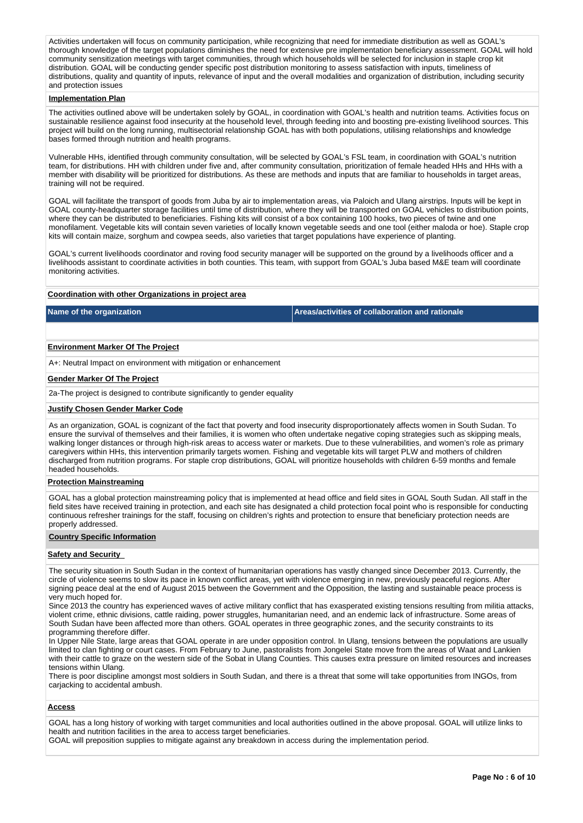Activities undertaken will focus on community participation, while recognizing that need for immediate distribution as well as GOAL's thorough knowledge of the target populations diminishes the need for extensive pre implementation beneficiary assessment. GOAL will hold community sensitization meetings with target communities, through which households will be selected for inclusion in staple crop kit distribution. GOAL will be conducting gender specific post distribution monitoring to assess satisfaction with inputs, timeliness of distributions, quality and quantity of inputs, relevance of input and the overall modalities and organization of distribution, including security and protection issues

#### **Implementation Plan**

The activities outlined above will be undertaken solely by GOAL, in coordination with GOAL's health and nutrition teams. Activities focus on sustainable resilience against food insecurity at the household level, through feeding into and boosting pre-existing livelihood sources. This project will build on the long running, multisectorial relationship GOAL has with both populations, utilising relationships and knowledge bases formed through nutrition and health programs.

Vulnerable HHs, identified through community consultation, will be selected by GOAL's FSL team, in coordination with GOAL's nutrition team, for distributions. HH with children under five and, after community consultation, prioritization of female headed HHs and HHs with a member with disability will be prioritized for distributions. As these are methods and inputs that are familiar to households in target areas, training will not be required.

GOAL will facilitate the transport of goods from Juba by air to implementation areas, via Paloich and Ulang airstrips. Inputs will be kept in GOAL county-headquarter storage facilities until time of distribution, where they will be transported on GOAL vehicles to distribution points, where they can be distributed to beneficiaries. Fishing kits will consist of a box containing 100 hooks, two pieces of twine and one monofilament. Vegetable kits will contain seven varieties of locally known vegetable seeds and one tool (either maloda or hoe). Staple crop kits will contain maize, sorghum and cowpea seeds, also varieties that target populations have experience of planting.

GOAL's current livelihoods coordinator and roving food security manager will be supported on the ground by a livelihoods officer and a livelihoods assistant to coordinate activities in both counties. This team, with support from GOAL's Juba based M&E team will coordinate monitoring activities.

## **Coordination with other Organizations in project area**

**Name of the organization Areas/activities of collaboration and rationale** 

#### **Environment Marker Of The Project**

A+: Neutral Impact on environment with mitigation or enhancement

## **Gender Marker Of The Project**

2a-The project is designed to contribute significantly to gender equality

#### **Justify Chosen Gender Marker Code**

As an organization, GOAL is cognizant of the fact that poverty and food insecurity disproportionately affects women in South Sudan. To ensure the survival of themselves and their families, it is women who often undertake negative coping strategies such as skipping meals, walking longer distances or through high-risk areas to access water or markets. Due to these vulnerabilities, and women's role as primary caregivers within HHs, this intervention primarily targets women. Fishing and vegetable kits will target PLW and mothers of children discharged from nutrition programs. For staple crop distributions, GOAL will prioritize households with children 6-59 months and female headed households.

#### **Protection Mainstreaming**

GOAL has a global protection mainstreaming policy that is implemented at head office and field sites in GOAL South Sudan. All staff in the field sites have received training in protection, and each site has designated a child protection focal point who is responsible for conducting continuous refresher trainings for the staff, focusing on children's rights and protection to ensure that beneficiary protection needs are properly addressed.

#### **Country Specific Information**

#### **Safety and Security**

The security situation in South Sudan in the context of humanitarian operations has vastly changed since December 2013. Currently, the circle of violence seems to slow its pace in known conflict areas, yet with violence emerging in new, previously peaceful regions. After signing peace deal at the end of August 2015 between the Government and the Opposition, the lasting and sustainable peace process is very much hoped for.

Since 2013 the country has experienced waves of active military conflict that has exasperated existing tensions resulting from militia attacks, violent crime, ethnic divisions, cattle raiding, power struggles, humanitarian need, and an endemic lack of infrastructure. Some areas of South Sudan have been affected more than others. GOAL operates in three geographic zones, and the security constraints to its programming therefore differ.

In Upper Nile State, large areas that GOAL operate in are under opposition control. In Ulang, tensions between the populations are usually limited to clan fighting or court cases. From February to June, pastoralists from Jongelei State move from the areas of Waat and Lankien with their cattle to graze on the western side of the Sobat in Ulang Counties. This causes extra pressure on limited resources and increases tensions within Ulang.

There is poor discipline amongst most soldiers in South Sudan, and there is a threat that some will take opportunities from INGOs, from carjacking to accidental ambush.

#### **Access**

GOAL has a long history of working with target communities and local authorities outlined in the above proposal. GOAL will utilize links to health and nutrition facilities in the area to access target beneficiaries.

GOAL will preposition supplies to mitigate against any breakdown in access during the implementation period.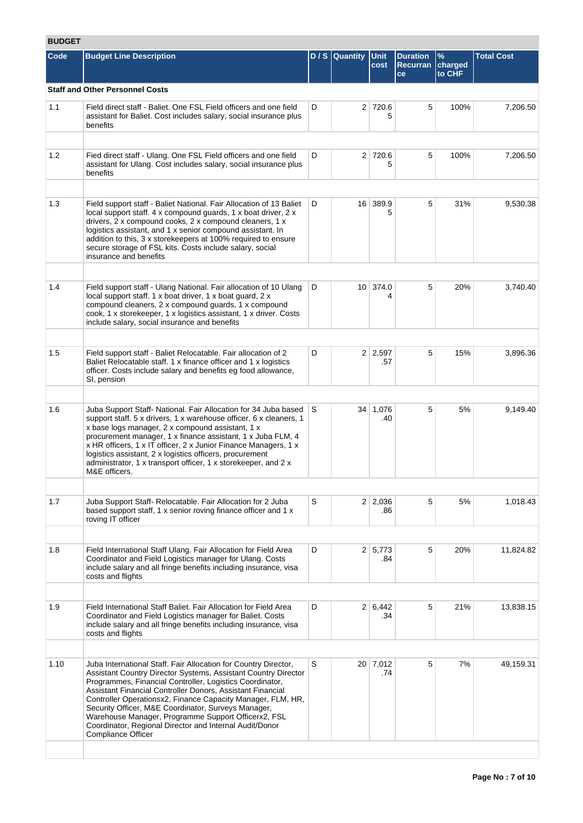# **BUDGET**

| Code | <b>Budget Line Description</b>                                                                                                                                                                                                                                                                                                                                                                                                                                                                                                   |   | D / S Quantity Unit | cost                  | <b>Duration</b><br><b>Recurran</b> | $\frac{9}{6}$<br>charged | <b>Total Cost</b> |
|------|----------------------------------------------------------------------------------------------------------------------------------------------------------------------------------------------------------------------------------------------------------------------------------------------------------------------------------------------------------------------------------------------------------------------------------------------------------------------------------------------------------------------------------|---|---------------------|-----------------------|------------------------------------|--------------------------|-------------------|
|      |                                                                                                                                                                                                                                                                                                                                                                                                                                                                                                                                  |   |                     |                       | ce                                 | to CHF                   |                   |
|      | <b>Staff and Other Personnel Costs</b>                                                                                                                                                                                                                                                                                                                                                                                                                                                                                           |   |                     |                       |                                    |                          |                   |
| 1.1  | Field direct staff - Baliet. One FSL Field officers and one field<br>assistant for Baliet. Cost includes salary, social insurance plus<br>benefits                                                                                                                                                                                                                                                                                                                                                                               | D |                     | 2 720.6<br>5          | 5                                  | 100%                     | 7,206.50          |
| 1.2  | Fied direct staff - Ulang. One FSL Field officers and one field<br>assistant for Ulang. Cost includes salary, social insurance plus<br>benefits                                                                                                                                                                                                                                                                                                                                                                                  | D |                     | 2 720.6<br>5          | 5                                  | 100%                     | 7,206.50          |
| 1.3  |                                                                                                                                                                                                                                                                                                                                                                                                                                                                                                                                  | D |                     | 16 389.9              | 5                                  | 31%                      |                   |
|      | Field support staff - Baliet National. Fair Allocation of 13 Baliet<br>local support staff. 4 x compound guards, 1 x boat driver, 2 x<br>drivers, 2 x compound cooks, 2 x compound cleaners, 1 x<br>logistics assistant, and 1 x senior compound assistant. In<br>addition to this, 3 x storekeepers at 100% required to ensure<br>secure storage of FSL kits. Costs include salary, social<br>insurance and benefits                                                                                                            |   |                     | 5                     |                                    |                          | 9,530.38          |
|      |                                                                                                                                                                                                                                                                                                                                                                                                                                                                                                                                  |   |                     |                       |                                    |                          |                   |
| 1.4  | Field support staff - Ulang National. Fair allocation of 10 Ulang<br>local support staff. 1 x boat driver, 1 x boat guard, 2 x<br>compound cleaners, 2 x compound guards, 1 x compound<br>cook, 1 x storekeeper, 1 x logistics assistant, 1 x driver. Costs<br>include salary, social insurance and benefits                                                                                                                                                                                                                     | D |                     | 10 374.0              | 5                                  | 20%                      | 3,740.40          |
|      |                                                                                                                                                                                                                                                                                                                                                                                                                                                                                                                                  |   |                     |                       |                                    |                          |                   |
| 1.5  | Field support staff - Baliet Relocatable. Fair allocation of 2<br>Baliet Relocatable staff. 1 x finance officer and 1 x logistics<br>officer. Costs include salary and benefits eg food allowance,<br>SI, pension                                                                                                                                                                                                                                                                                                                | D |                     | $2 \mid 2,597$<br>.57 | 5                                  | 15%                      | 3,896.36          |
|      |                                                                                                                                                                                                                                                                                                                                                                                                                                                                                                                                  |   |                     |                       |                                    |                          |                   |
| 1.6  | Juba Support Staff- National. Fair Allocation for 34 Juba based<br>support staff. 5 x drivers, 1 x warehouse officer, 6 x cleaners, 1<br>x base logs manager, 2 x compound assistant, 1 x<br>procurement manager, 1 x finance assistant, 1 x Juba FLM, 4<br>x HR officers, 1 x IT officer, 2 x Junior Finance Managers, 1 x<br>logistics assistant, 2 x logistics officers, procurement<br>administrator, 1 x transport officer, 1 x storekeeper, and 2 x<br>M&E officers.                                                       | S |                     | 34 1,076<br>.40       | 5                                  | 5%                       | 9,149.40          |
|      |                                                                                                                                                                                                                                                                                                                                                                                                                                                                                                                                  |   |                     |                       |                                    |                          |                   |
| 1.7  | Juba Support Staff- Relocatable. Fair Allocation for 2 Juba<br>based support staff, 1 x senior roving finance officer and 1 x<br>roving IT officer                                                                                                                                                                                                                                                                                                                                                                               | S |                     | $2 \mid 2,036$<br>.86 | 5                                  | 5%                       | 1,018.43          |
|      |                                                                                                                                                                                                                                                                                                                                                                                                                                                                                                                                  |   |                     |                       |                                    |                          |                   |
| 1.8  | Field International Staff Ulang. Fair Allocation for Field Area<br>Coordinator and Field Logistics manager for Ulang. Costs<br>include salary and all fringe benefits including insurance, visa<br>costs and flights                                                                                                                                                                                                                                                                                                             | D |                     | 2 5,773<br>.84        | 5                                  | 20%                      | 11,824.82         |
|      |                                                                                                                                                                                                                                                                                                                                                                                                                                                                                                                                  |   |                     |                       |                                    |                          |                   |
| 1.9  | Field International Staff Baliet. Fair Allocation for Field Area<br>Coordinator and Field Logistics manager for Baliet. Costs<br>include salary and all fringe benefits including insurance, visa<br>costs and flights                                                                                                                                                                                                                                                                                                           | D |                     | 2 6.442<br>.34        | 5                                  | 21%                      | 13,838.15         |
|      |                                                                                                                                                                                                                                                                                                                                                                                                                                                                                                                                  |   |                     |                       |                                    |                          |                   |
| 1.10 | Juba International Staff. Fair Allocation for Country Director,<br>Assistant Country Director Systems, Assistant Country Director<br>Programmes, Financial Controller, Logistics Coordinator,<br>Assistant Financial Controller Donors, Assistant Financial<br>Controller Operationsx2, Finance Capacity Manager, FLM, HR,<br>Security Officer, M&E Coordinator, Surveys Manager,<br>Warehouse Manager, Programme Support Officerx2, FSL<br>Coordinator, Regional Director and Internal Audit/Donor<br><b>Compliance Officer</b> | S |                     | 20 7,012<br>.74       | 5                                  | 7%                       | 49,159.31         |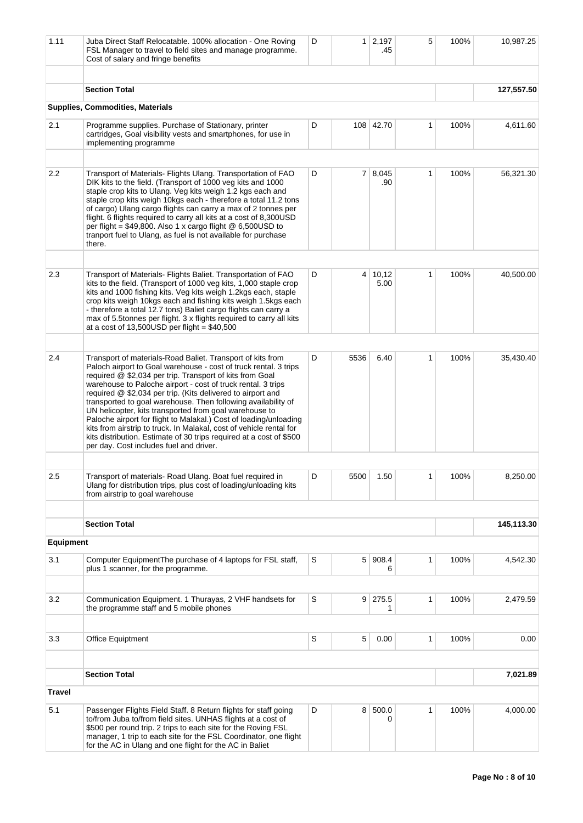| 1.11             | Juba Direct Staff Relocatable. 100% allocation - One Roving<br>FSL Manager to travel to field sites and manage programme.<br>Cost of salary and fringe benefits                                                                                                                                                                                                                                                                                                                                                                                                                                                                                                                                                    | D |                 | $1 \mid 2,197$<br>.45 | 5            | 100% | 10,987.25  |
|------------------|--------------------------------------------------------------------------------------------------------------------------------------------------------------------------------------------------------------------------------------------------------------------------------------------------------------------------------------------------------------------------------------------------------------------------------------------------------------------------------------------------------------------------------------------------------------------------------------------------------------------------------------------------------------------------------------------------------------------|---|-----------------|-----------------------|--------------|------|------------|
|                  | <b>Section Total</b>                                                                                                                                                                                                                                                                                                                                                                                                                                                                                                                                                                                                                                                                                               |   |                 |                       |              |      | 127,557.50 |
|                  | Supplies, Commodities, Materials                                                                                                                                                                                                                                                                                                                                                                                                                                                                                                                                                                                                                                                                                   |   |                 |                       |              |      |            |
|                  |                                                                                                                                                                                                                                                                                                                                                                                                                                                                                                                                                                                                                                                                                                                    |   |                 |                       |              |      |            |
| 2.1              | Programme supplies. Purchase of Stationary, printer<br>cartridges, Goal visibility vests and smartphones, for use in<br>implementing programme                                                                                                                                                                                                                                                                                                                                                                                                                                                                                                                                                                     | D |                 | 108 42.70             | 1            | 100% | 4,611.60   |
|                  |                                                                                                                                                                                                                                                                                                                                                                                                                                                                                                                                                                                                                                                                                                                    |   |                 |                       |              |      |            |
| 2.2              | Transport of Materials- Flights Ulang. Transportation of FAO<br>DIK kits to the field. (Transport of 1000 veg kits and 1000<br>staple crop kits to Ulang. Veg kits weigh 1.2 kgs each and<br>staple crop kits weigh 10kgs each - therefore a total 11.2 tons<br>of cargo) Ulang cargo flights can carry a max of 2 tonnes per<br>flight. 6 flights required to carry all kits at a cost of 8,300USD<br>per flight = $$49,800$ . Also 1 x cargo flight @ 6,500USD to<br>tranport fuel to Ulang, as fuel is not available for purchase<br>there.                                                                                                                                                                     | D |                 | 7 8.045<br>.90        | $\mathbf{1}$ | 100% | 56,321.30  |
|                  |                                                                                                                                                                                                                                                                                                                                                                                                                                                                                                                                                                                                                                                                                                                    |   |                 |                       |              |      |            |
| 2.3              | Transport of Materials- Flights Baliet. Transportation of FAO<br>kits to the field. (Transport of 1000 veg kits, 1,000 staple crop<br>kits and 1000 fishing kits. Veg kits weigh 1.2kgs each, staple<br>crop kits weigh 10kgs each and fishing kits weigh 1.5kgs each<br>- therefore a total 12.7 tons) Baliet cargo flights can carry a<br>max of 5.5tonnes per flight. 3 x flights required to carry all kits<br>at a cost of $13,500USD$ per flight = \$40,500                                                                                                                                                                                                                                                  | D | $\vert 4 \vert$ | 10,12<br>5.00         | $\mathbf{1}$ | 100% | 40,500.00  |
|                  |                                                                                                                                                                                                                                                                                                                                                                                                                                                                                                                                                                                                                                                                                                                    |   |                 |                       |              |      |            |
| 2.4              | Transport of materials-Road Baliet. Transport of kits from<br>Paloch airport to Goal warehouse - cost of truck rental. 3 trips<br>required @ \$2,034 per trip. Transport of kits from Goal<br>warehouse to Paloche airport - cost of truck rental. 3 trips<br>required @ \$2,034 per trip. (Kits delivered to airport and<br>transported to goal warehouse. Then following availability of<br>UN helicopter, kits transported from goal warehouse to<br>Paloche airport for flight to Malakal.) Cost of loading/unloading<br>kits from airstrip to truck. In Malakal, cost of vehicle rental for<br>kits distribution. Estimate of 30 trips required at a cost of \$500<br>per day. Cost includes fuel and driver. | D | 5536            | 6.40                  | 1            | 100% | 35,430.40  |
|                  |                                                                                                                                                                                                                                                                                                                                                                                                                                                                                                                                                                                                                                                                                                                    |   |                 |                       |              |      |            |
| 2.5              | Transport of materials- Road Ulang. Boat fuel required in<br>Ulang for distribution trips, plus cost of loading/unloading kits<br>from airstrip to goal warehouse                                                                                                                                                                                                                                                                                                                                                                                                                                                                                                                                                  | D | 5500            | 1.50                  | 1            | 100% | 8,250.00   |
|                  |                                                                                                                                                                                                                                                                                                                                                                                                                                                                                                                                                                                                                                                                                                                    |   |                 |                       |              |      |            |
|                  | <b>Section Total</b>                                                                                                                                                                                                                                                                                                                                                                                                                                                                                                                                                                                                                                                                                               |   |                 |                       |              |      | 145,113.30 |
| <b>Equipment</b> |                                                                                                                                                                                                                                                                                                                                                                                                                                                                                                                                                                                                                                                                                                                    |   |                 |                       |              |      |            |
| 3.1              | Computer EquipmentThe purchase of 4 laptops for FSL staff,<br>plus 1 scanner, for the programme.                                                                                                                                                                                                                                                                                                                                                                                                                                                                                                                                                                                                                   | S | 5 <sup>1</sup>  | 908.4<br>6            | 1            | 100% | 4,542.30   |
|                  |                                                                                                                                                                                                                                                                                                                                                                                                                                                                                                                                                                                                                                                                                                                    |   |                 |                       |              |      |            |
| 3.2              | Communication Equipment. 1 Thurayas, 2 VHF handsets for<br>the programme staff and 5 mobile phones                                                                                                                                                                                                                                                                                                                                                                                                                                                                                                                                                                                                                 | S | 9 <sup>1</sup>  | 275.5<br>1            | 1            | 100% | 2,479.59   |
|                  |                                                                                                                                                                                                                                                                                                                                                                                                                                                                                                                                                                                                                                                                                                                    |   |                 |                       |              |      |            |
| 3.3              | <b>Office Equiptment</b>                                                                                                                                                                                                                                                                                                                                                                                                                                                                                                                                                                                                                                                                                           | S | 5               | 0.00                  | 1            | 100% | 0.00       |
|                  | <b>Section Total</b>                                                                                                                                                                                                                                                                                                                                                                                                                                                                                                                                                                                                                                                                                               |   |                 |                       |              |      | 7,021.89   |
| <b>Travel</b>    |                                                                                                                                                                                                                                                                                                                                                                                                                                                                                                                                                                                                                                                                                                                    |   |                 |                       |              |      |            |
| 5.1              | Passenger Flights Field Staff. 8 Return flights for staff going<br>to/from Juba to/from field sites. UNHAS flights at a cost of<br>\$500 per round trip. 2 trips to each site for the Roving FSL<br>manager, 1 trip to each site for the FSL Coordinator, one flight<br>for the AC in Ulang and one flight for the AC in Baliet                                                                                                                                                                                                                                                                                                                                                                                    | D | 8               | 500.0<br>0            | 1            | 100% | 4,000.00   |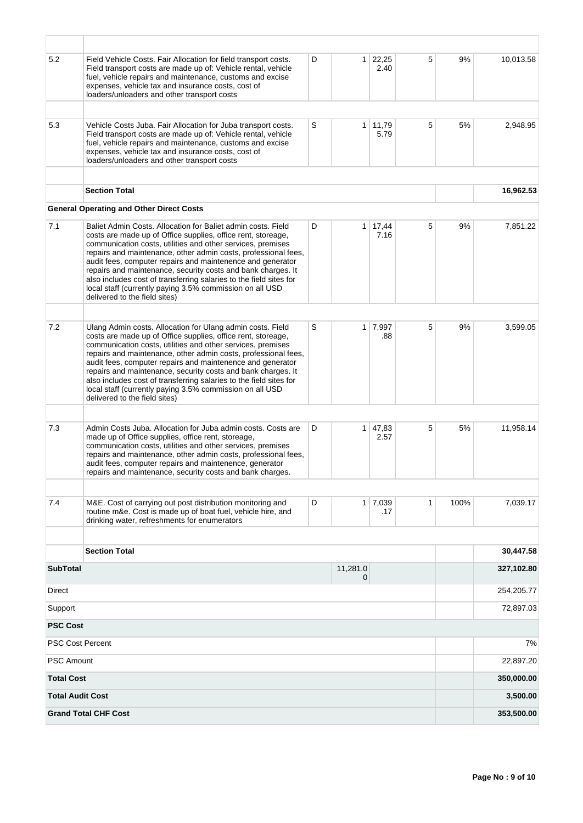| 5.2                     | Field Vehicle Costs. Fair Allocation for field transport costs.<br>Field transport costs are made up of: Vehicle rental, vehicle<br>fuel, vehicle repairs and maintenance, customs and excise<br>expenses, vehicle tax and insurance costs, cost of<br>loaders/unloaders and other transport costs                                                                                                                                                                                                                                                             | D | 1 <sup>1</sup> | 22,25<br>2.40         | 5 | 9%   | 10,013.58  |
|-------------------------|----------------------------------------------------------------------------------------------------------------------------------------------------------------------------------------------------------------------------------------------------------------------------------------------------------------------------------------------------------------------------------------------------------------------------------------------------------------------------------------------------------------------------------------------------------------|---|----------------|-----------------------|---|------|------------|
|                         |                                                                                                                                                                                                                                                                                                                                                                                                                                                                                                                                                                |   |                |                       |   |      |            |
| 5.3                     | Vehicle Costs Juba. Fair Allocation for Juba transport costs.<br>Field transport costs are made up of: Vehicle rental, vehicle<br>fuel, vehicle repairs and maintenance, customs and excise<br>expenses, vehicle tax and insurance costs, cost of<br>loaders/unloaders and other transport costs                                                                                                                                                                                                                                                               | S | 1              | 11,79<br>5.79         | 5 | 5%   | 2,948.95   |
|                         |                                                                                                                                                                                                                                                                                                                                                                                                                                                                                                                                                                |   |                |                       |   |      |            |
|                         | <b>Section Total</b>                                                                                                                                                                                                                                                                                                                                                                                                                                                                                                                                           |   |                |                       |   |      | 16,962.53  |
|                         | <b>General Operating and Other Direct Costs</b>                                                                                                                                                                                                                                                                                                                                                                                                                                                                                                                |   |                |                       |   |      |            |
| 7.1                     | Baliet Admin Costs. Allocation for Baliet admin costs. Field<br>costs are made up of Office supplies, office rent, storeage,<br>communication costs, utilities and other services, premises<br>repairs and maintenance, other admin costs, professional fees,<br>audit fees, computer repairs and maintenence and generator<br>repairs and maintenance, security costs and bank charges. It<br>also includes cost of transferring salaries to the field sites for<br>local staff (currently paying 3.5% commission on all USD<br>delivered to the field sites) | D | 1 <sup>1</sup> | 17,44<br>7.16         | 5 | 9%   | 7,851.22   |
|                         |                                                                                                                                                                                                                                                                                                                                                                                                                                                                                                                                                                |   |                |                       |   |      |            |
| 7.2                     | Ulang Admin costs. Allocation for Ulang admin costs. Field<br>costs are made up of Office supplies, office rent, storeage,<br>communication costs, utilities and other services, premises<br>repairs and maintenance, other admin costs, professional fees,<br>audit fees, computer repairs and maintenence and generator<br>repairs and maintenance, security costs and bank charges. It<br>also includes cost of transferring salaries to the field sites for<br>local staff (currently paying 3.5% commission on all USD<br>delivered to the field sites)   | S |                | $1 \mid 7,997$<br>.88 | 5 | 9%   | 3,599.05   |
|                         |                                                                                                                                                                                                                                                                                                                                                                                                                                                                                                                                                                |   |                |                       |   |      |            |
| 7.3                     | Admin Costs Juba. Allocation for Juba admin costs. Costs are<br>made up of Office supplies, office rent, storeage,<br>communication costs, utilities and other services, premises<br>repairs and maintenance, other admin costs, professional fees,<br>audit fees, computer repairs and maintenence, generator<br>repairs and maintenance, security costs and bank charges.                                                                                                                                                                                    | D | 1 <sup>1</sup> | 47,83<br>2.57         | 5 | 5%   | 11,958.14  |
|                         |                                                                                                                                                                                                                                                                                                                                                                                                                                                                                                                                                                |   |                |                       |   |      |            |
| 7.4                     | M&E. Cost of carrying out post distribution monitoring and<br>routine m&e. Cost is made up of boat fuel, vehicle hire, and<br>drinking water, refreshments for enumerators                                                                                                                                                                                                                                                                                                                                                                                     | D |                | $1 \mid 7,039$<br>.17 | 1 | 100% | 7,039.17   |
|                         | <b>Section Total</b>                                                                                                                                                                                                                                                                                                                                                                                                                                                                                                                                           |   |                |                       |   |      | 30,447.58  |
|                         |                                                                                                                                                                                                                                                                                                                                                                                                                                                                                                                                                                |   |                |                       |   |      |            |
| <b>SubTotal</b>         |                                                                                                                                                                                                                                                                                                                                                                                                                                                                                                                                                                |   | 11,281.0<br>0  |                       |   |      | 327,102.80 |
| <b>Direct</b>           |                                                                                                                                                                                                                                                                                                                                                                                                                                                                                                                                                                |   |                |                       |   |      | 254,205.77 |
| Support                 |                                                                                                                                                                                                                                                                                                                                                                                                                                                                                                                                                                |   |                |                       |   |      | 72,897.03  |
| <b>PSC Cost</b>         |                                                                                                                                                                                                                                                                                                                                                                                                                                                                                                                                                                |   |                |                       |   |      |            |
| <b>PSC Cost Percent</b> |                                                                                                                                                                                                                                                                                                                                                                                                                                                                                                                                                                |   |                |                       |   |      | 7%         |
| <b>PSC Amount</b>       |                                                                                                                                                                                                                                                                                                                                                                                                                                                                                                                                                                |   |                |                       |   |      | 22,897.20  |
| <b>Total Cost</b>       |                                                                                                                                                                                                                                                                                                                                                                                                                                                                                                                                                                |   |                |                       |   |      | 350,000.00 |
| <b>Total Audit Cost</b> |                                                                                                                                                                                                                                                                                                                                                                                                                                                                                                                                                                |   |                |                       |   |      | 3,500.00   |
|                         | <b>Grand Total CHF Cost</b>                                                                                                                                                                                                                                                                                                                                                                                                                                                                                                                                    |   |                |                       |   |      | 353,500.00 |